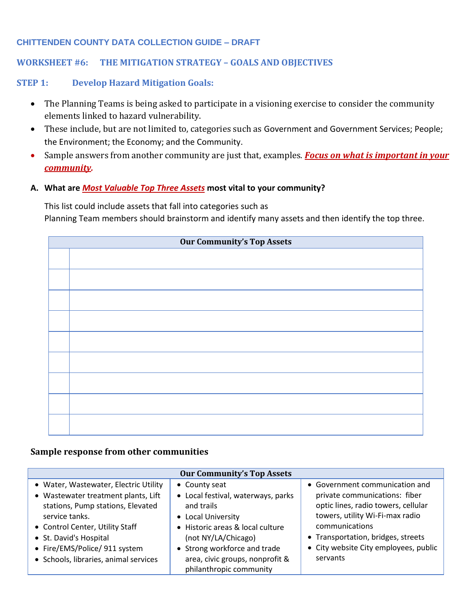## **CHITTENDEN COUNTY DATA COLLECTION GUIDE – DRAFT**

# **WORKSHEET #6: THE MITIGATION STRATEGY – GOALS AND OBJECTIVES**

## **STEP 1: Develop Hazard Mitigation Goals:**

- The Planning Teams is being asked to participate in a visioning exercise to consider the community elements linked to hazard vulnerability.
- These include, but are not limited to, categories such as Government and Government Services; People; the Environment; the Economy; and the Community.
- Sample answers from another community are just that, examples. *Focus on what is important in your community.*
- **A. What are** *Most Valuable Top Three Assets* **most vital to your community?**

This list could include assets that fall into categories such as

Planning Team members should brainstorm and identify many assets and then identify the top three.

| <b>Our Community's Top Assets</b> |  |  |  |
|-----------------------------------|--|--|--|
|                                   |  |  |  |
|                                   |  |  |  |
|                                   |  |  |  |
|                                   |  |  |  |
|                                   |  |  |  |
|                                   |  |  |  |
|                                   |  |  |  |
|                                   |  |  |  |
|                                   |  |  |  |

### **Sample response from other communities**

| <b>Our Community's Top Assets</b>                                                                                                                                                                                                                                          |                                                                                                                                                                                                                                                  |                                                                                                                                                                                                                                                        |  |  |
|----------------------------------------------------------------------------------------------------------------------------------------------------------------------------------------------------------------------------------------------------------------------------|--------------------------------------------------------------------------------------------------------------------------------------------------------------------------------------------------------------------------------------------------|--------------------------------------------------------------------------------------------------------------------------------------------------------------------------------------------------------------------------------------------------------|--|--|
| • Water, Wastewater, Electric Utility<br>• Wastewater treatment plants, Lift<br>stations, Pump stations, Elevated<br>service tanks.<br>• Control Center, Utility Staff<br>• St. David's Hospital<br>• Fire/EMS/Police/ 911 system<br>• Schools, libraries, animal services | • County seat<br>• Local festival, waterways, parks<br>and trails<br>• Local University<br>• Historic areas & local culture<br>(not NY/LA/Chicago)<br>• Strong workforce and trade<br>area, civic groups, nonprofit &<br>philanthropic community | • Government communication and<br>private communications: fiber<br>optic lines, radio towers, cellular<br>towers, utility Wi-Fi-max radio<br>communications<br>• Transportation, bridges, streets<br>• City website City employees, public<br>servants |  |  |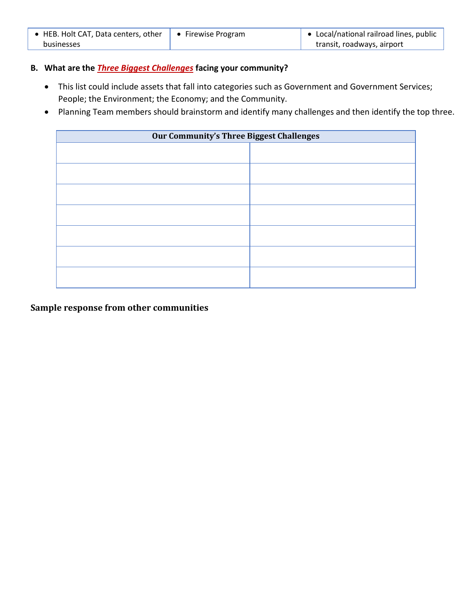| • HEB. Holt CAT, Data centers, other | $\bullet$ Firewise Program | $\bullet$ Local/national railroad lines, public |
|--------------------------------------|----------------------------|-------------------------------------------------|
| businesses                           |                            | transit, roadways, airport                      |

### **B. What are the** *Three Biggest Challenges* **facing your community?**

- This list could include assets that fall into categories such as Government and Government Services; People; the Environment; the Economy; and the Community.
- Planning Team members should brainstorm and identify many challenges and then identify the top three.

| <b>Our Community's Three Biggest Challenges</b> |  |  |
|-------------------------------------------------|--|--|
|                                                 |  |  |
|                                                 |  |  |
|                                                 |  |  |
|                                                 |  |  |
|                                                 |  |  |
|                                                 |  |  |
|                                                 |  |  |

**Sample response from other communities**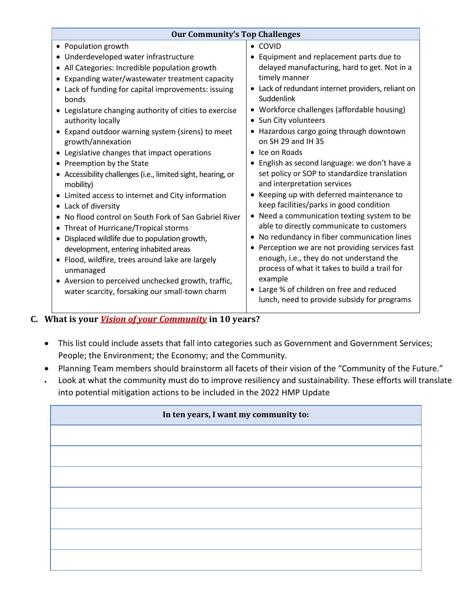| <b>Our Community's Top Challenges</b>                                                                                                                                                                                                                                                                                                                                                                                                                                                                                                                                                                                                                                                                                          |  |  |
|--------------------------------------------------------------------------------------------------------------------------------------------------------------------------------------------------------------------------------------------------------------------------------------------------------------------------------------------------------------------------------------------------------------------------------------------------------------------------------------------------------------------------------------------------------------------------------------------------------------------------------------------------------------------------------------------------------------------------------|--|--|
| $\bullet$ COVID<br>• Equipment and replacement parts due to<br>delayed manufacturing, hard to get. Not in a<br>timely manner<br>• Lack of redundant internet providers, reliant on<br>Suddenlink<br>• Workforce challenges (affordable housing)<br>• Sun City volunteers<br>• Hazardous cargo going through downtown<br>on SH 29 and IH 35<br>• Ice on Roads<br>• English as second language: we don't have a<br>set policy or SOP to standardize translation<br>and interpretation services<br>• Keeping up with deferred maintenance to<br>keep facilities/parks in good condition<br>Need a communication texting system to be<br>able to directly communicate to customers<br>• No redundancy in fiber communication lines |  |  |
| • Perception we are not providing services fast                                                                                                                                                                                                                                                                                                                                                                                                                                                                                                                                                                                                                                                                                |  |  |
| enough, i.e., they do not understand the<br>process of what it takes to build a trail for<br>example<br>• Large % of children on free and reduced<br>lunch, need to provide subsidy for programs                                                                                                                                                                                                                                                                                                                                                                                                                                                                                                                               |  |  |
|                                                                                                                                                                                                                                                                                                                                                                                                                                                                                                                                                                                                                                                                                                                                |  |  |

# **C. What is your** *Vision of your Community* **in 10 years?**

- This list could include assets that fall into categories such as Government and Government Services; People; the Environment; the Economy; and the Community.
- Planning Team members should brainstorm all facets of their vision of the "Community of the Future." • Look at what the community must do to improve resiliency and sustainability. These efforts will translate into potential mitigation actions to be included in the 2022 HMP Update

| In ten years, I want my community to: |  |  |
|---------------------------------------|--|--|
|                                       |  |  |
|                                       |  |  |
|                                       |  |  |
|                                       |  |  |
|                                       |  |  |
|                                       |  |  |
|                                       |  |  |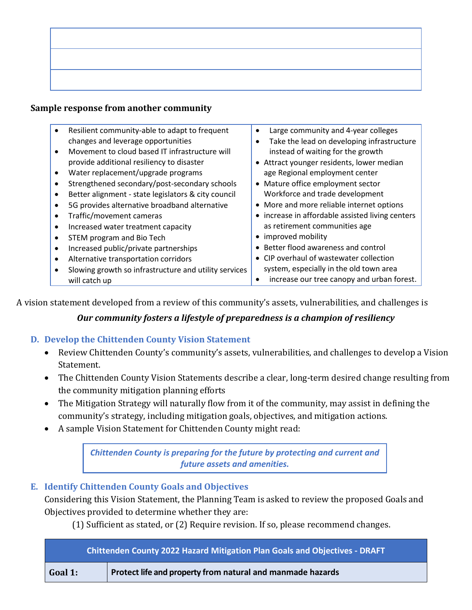# **Sample response from another community**

|           | Resilient community-able to adapt to frequent         | Large community and 4-year colleges<br>$\bullet$        |
|-----------|-------------------------------------------------------|---------------------------------------------------------|
|           | changes and leverage opportunities                    | Take the lead on developing infrastructure<br>$\bullet$ |
| $\bullet$ | Movement to cloud based IT infrastructure will        | instead of waiting for the growth                       |
|           | provide additional resiliency to disaster             | • Attract younger residents, lower median               |
| $\bullet$ | Water replacement/upgrade programs                    | age Regional employment center                          |
|           | Strengthened secondary/post-secondary schools         | • Mature office employment sector                       |
| $\bullet$ | Better alignment - state legislators & city council   | Workforce and trade development                         |
|           | 5G provides alternative broadband alternative         | • More and more reliable internet options               |
| $\bullet$ | Traffic/movement cameras                              | • increase in affordable assisted living centers        |
| $\bullet$ | Increased water treatment capacity                    | as retirement communities age                           |
| ٠         | STEM program and Bio Tech                             | • improved mobility                                     |
| $\bullet$ | Increased public/private partnerships                 | Better flood awareness and control<br>$\bullet$         |
| $\bullet$ | Alternative transportation corridors                  | • CIP overhaul of wastewater collection                 |
|           | Slowing growth so infrastructure and utility services | system, especially in the old town area                 |
|           | will catch up                                         | increase our tree canopy and urban forest.              |

A vision statement developed from a review of this community's assets, vulnerabilities, and challenges is

# *Our community fosters a lifestyle of preparedness is a champion of resiliency*

# **D. Develop the Chittenden County Vision Statement**

- Review Chittenden County's community's assets, vulnerabilities, and challenges to develop a Vision Statement.
- The Chittenden County Vision Statements describe a clear, long-term desired change resulting from the community mitigation planning efforts
- The Mitigation Strategy will naturally flow from it of the community, may assist in defining the community's strategy, including mitigation goals, objectives, and mitigation actions.
- A sample Vision Statement for Chittenden County might read:

*Chittenden County is preparing for the future by protecting and current and future assets and amenities.*

# **E. Identify Chittenden County Goals and Objectives**

Considering this Vision Statement, the Planning Team is asked to review the proposed Goals and Objectives provided to determine whether they are:

(1) Sufficient as stated, or (2) Require revision. If so, please recommend changes.

| <b>Chittenden County 2022 Hazard Mitigation Plan Goals and Objectives - DRAFT</b> |                                                            |  |
|-----------------------------------------------------------------------------------|------------------------------------------------------------|--|
| Goal 1:                                                                           | Protect life and property from natural and manmade hazards |  |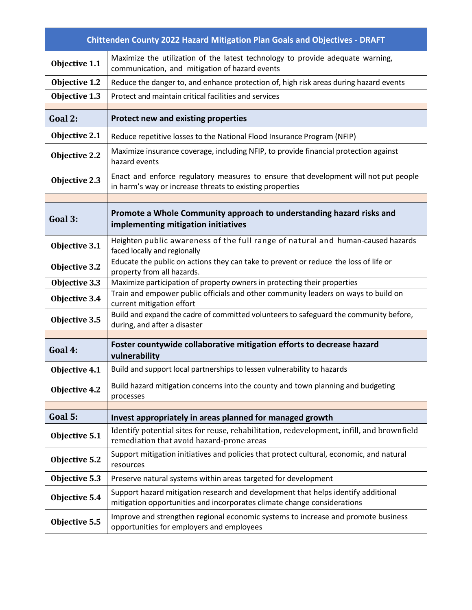|                                                                                                                                                                               | <b>Chittenden County 2022 Hazard Mitigation Plan Goals and Objectives - DRAFT</b>                                                                |  |  |  |  |
|-------------------------------------------------------------------------------------------------------------------------------------------------------------------------------|--------------------------------------------------------------------------------------------------------------------------------------------------|--|--|--|--|
| Objective 1.1                                                                                                                                                                 | Maximize the utilization of the latest technology to provide adequate warning,<br>communication, and mitigation of hazard events                 |  |  |  |  |
| Objective 1.2                                                                                                                                                                 | Reduce the danger to, and enhance protection of, high risk areas during hazard events                                                            |  |  |  |  |
| Objective 1.3                                                                                                                                                                 | Protect and maintain critical facilities and services                                                                                            |  |  |  |  |
| Goal 2:                                                                                                                                                                       | Protect new and existing properties                                                                                                              |  |  |  |  |
| Objective 2.1                                                                                                                                                                 | Reduce repetitive losses to the National Flood Insurance Program (NFIP)                                                                          |  |  |  |  |
| Objective 2.2                                                                                                                                                                 | Maximize insurance coverage, including NFIP, to provide financial protection against<br>hazard events                                            |  |  |  |  |
| Objective 2.3                                                                                                                                                                 | Enact and enforce regulatory measures to ensure that development will not put people<br>in harm's way or increase threats to existing properties |  |  |  |  |
| Goal 3:                                                                                                                                                                       | Promote a Whole Community approach to understanding hazard risks and<br>implementing mitigation initiatives                                      |  |  |  |  |
| Objective 3.1                                                                                                                                                                 | Heighten public awareness of the full range of natural and human-caused hazards<br>faced locally and regionally                                  |  |  |  |  |
| Objective 3.2                                                                                                                                                                 | Educate the public on actions they can take to prevent or reduce the loss of life or<br>property from all hazards.                               |  |  |  |  |
| Objective 3.3                                                                                                                                                                 | Maximize participation of property owners in protecting their properties                                                                         |  |  |  |  |
| Objective 3.4                                                                                                                                                                 | Train and empower public officials and other community leaders on ways to build on<br>current mitigation effort                                  |  |  |  |  |
| Objective 3.5                                                                                                                                                                 | Build and expand the cadre of committed volunteers to safeguard the community before,<br>during, and after a disaster                            |  |  |  |  |
| Foster countywide collaborative mitigation efforts to decrease hazard<br>Goal 4:<br>vulnerability                                                                             |                                                                                                                                                  |  |  |  |  |
| Objective 4.1                                                                                                                                                                 | Build and support local partnerships to lessen vulnerability to hazards                                                                          |  |  |  |  |
| Objective 4.2                                                                                                                                                                 | Build hazard mitigation concerns into the county and town planning and budgeting<br>processes                                                    |  |  |  |  |
| Goal 5:                                                                                                                                                                       | Invest appropriately in areas planned for managed growth                                                                                         |  |  |  |  |
| Objective 5.1                                                                                                                                                                 | Identify potential sites for reuse, rehabilitation, redevelopment, infill, and brownfield<br>remediation that avoid hazard-prone areas           |  |  |  |  |
| Objective 5.2                                                                                                                                                                 | Support mitigation initiatives and policies that protect cultural, economic, and natural<br>resources                                            |  |  |  |  |
| Objective 5.3                                                                                                                                                                 | Preserve natural systems within areas targeted for development                                                                                   |  |  |  |  |
| Support hazard mitigation research and development that helps identify additional<br>Objective 5.4<br>mitigation opportunities and incorporates climate change considerations |                                                                                                                                                  |  |  |  |  |
| Objective 5.5                                                                                                                                                                 | Improve and strengthen regional economic systems to increase and promote business<br>opportunities for employers and employees                   |  |  |  |  |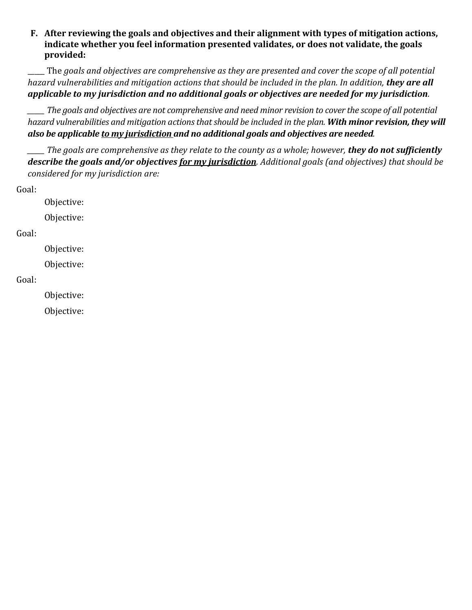# **F. After reviewing the goals and objectives and their alignment with types of mitigation actions, indicate whether you feel information presented validates, or does not validate, the goals provided:**

\_\_\_\_\_ The *goals and objectives are comprehensive as they are presented and cover the scope of all potential hazard vulnerabilities and mitigation actions that should be included in the plan. In addition, they are all applicable to my jurisdiction and no additional goals or objectives are needed for my jurisdiction.*

*\_\_\_\_\_ The goals and objectives are not comprehensive and need minor revision to cover the scope of all potential hazard vulnerabilities and mitigation actions that should be included in the plan. With minor revision, they will also be applicable to my jurisdiction and no additional goals and objectives are needed.*

*\_\_\_\_\_ The goals are comprehensive as they relate to the county as a whole; however, they do not sufficiently describe the goals and/or objectives for my jurisdiction. Additional goals (and objectives) that should be considered for my jurisdiction are:*

Goal:

Objective:

Objective:

# Goal:

Objective:

Objective:

## Goal:

Objective:

Objective: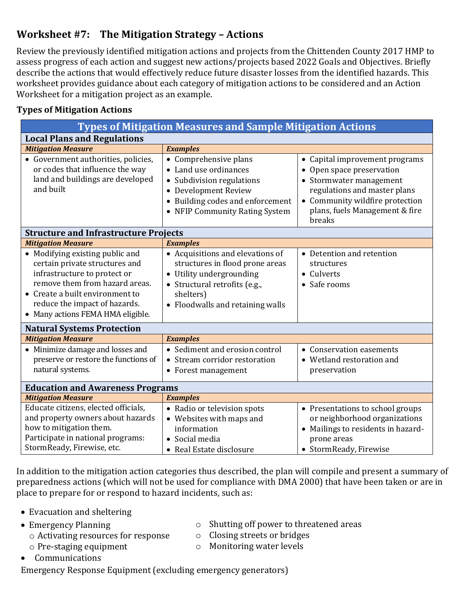# **Worksheet #7: The Mitigation Strategy – Actions**

Review the previously identified mitigation actions and projects from the Chittenden County 2017 HMP to assess progress of each action and suggest new actions/projects based 2022 Goals and Objectives. Briefly describe the actions that would effectively reduce future disaster losses from the identified hazards. This worksheet provides guidance about each category of mitigation actions to be considered and an Action Worksheet for a mitigation project as an example.

# **Types of Mitigation Actions**

| <b>Types of Mitigation Measures and Sample Mitigation Actions</b>                                                                                                                                                                            |                                                                                                                                                                                   |                                                                                                                                                                                                       |  |
|----------------------------------------------------------------------------------------------------------------------------------------------------------------------------------------------------------------------------------------------|-----------------------------------------------------------------------------------------------------------------------------------------------------------------------------------|-------------------------------------------------------------------------------------------------------------------------------------------------------------------------------------------------------|--|
| <b>Local Plans and Regulations</b>                                                                                                                                                                                                           |                                                                                                                                                                                   |                                                                                                                                                                                                       |  |
| <b>Mitigation Measure</b><br><b>Examples</b>                                                                                                                                                                                                 |                                                                                                                                                                                   |                                                                                                                                                                                                       |  |
| • Government authorities, policies,<br>or codes that influence the way<br>land and buildings are developed<br>and built                                                                                                                      | • Comprehensive plans<br>• Land use ordinances<br>• Subdivision regulations<br>Development Review<br>• Building codes and enforcement<br>• NFIP Community Rating System           | • Capital improvement programs<br>• Open space preservation<br>• Stormwater management<br>regulations and master plans<br>• Community wildfire protection<br>plans, fuels Management & fire<br>breaks |  |
| <b>Structure and Infrastructure Projects</b>                                                                                                                                                                                                 |                                                                                                                                                                                   |                                                                                                                                                                                                       |  |
| <b>Mitigation Measure</b>                                                                                                                                                                                                                    | <b>Examples</b>                                                                                                                                                                   |                                                                                                                                                                                                       |  |
| • Modifying existing public and<br>certain private structures and<br>infrastructure to protect or<br>remove them from hazard areas.<br>• Create a built environment to<br>reduce the impact of hazards.<br>• Many actions FEMA HMA eligible. | • Acquisitions and elevations of<br>structures in flood prone areas<br>• Utility undergrounding<br>• Structural retrofits (e.g.,<br>shelters)<br>• Floodwalls and retaining walls | • Detention and retention<br>structures<br>• Culverts<br>• Safe rooms                                                                                                                                 |  |
| <b>Natural Systems Protection</b>                                                                                                                                                                                                            |                                                                                                                                                                                   |                                                                                                                                                                                                       |  |
| <b>Mitigation Measure</b>                                                                                                                                                                                                                    | <b>Examples</b>                                                                                                                                                                   |                                                                                                                                                                                                       |  |
| • Minimize damage and losses and<br>preserve or restore the functions of<br>natural systems.                                                                                                                                                 | • Sediment and erosion control<br>• Stream corridor restoration<br>• Forest management                                                                                            | • Conservation easements<br>• Wetland restoration and<br>preservation                                                                                                                                 |  |
| <b>Education and Awareness Programs</b>                                                                                                                                                                                                      |                                                                                                                                                                                   |                                                                                                                                                                                                       |  |
|                                                                                                                                                                                                                                              | <b>Mitigation Measure</b><br><b>Examples</b>                                                                                                                                      |                                                                                                                                                                                                       |  |
| Educate citizens, elected officials,<br>and property owners about hazards<br>how to mitigation them.<br>Participate in national programs:<br>StormReady, Firewise, etc.                                                                      | • Radio or television spots<br>• Websites with maps and<br>information<br>• Social media<br>• Real Estate disclosure                                                              | • Presentations to school groups<br>or neighborhood organizations<br>Mailings to residents in hazard-<br>prone areas<br>• StormReady, Firewise                                                        |  |

In addition to the mitigation action categories thus described, the plan will compile and present a summary of preparedness actions (which will not be used for compliance with DMA 2000) that have been taken or are in place to prepare for or respond to hazard incidents, such as:

- Evacuation and sheltering
- Emergency Planning
- o Shutting off power to threatened areas
- o Activating resources for response o Pre-staging equipment
- o Monitoring water levels
- Communications
- Emergency Response Equipment (excluding emergency generators)
- 
- o Closing streets or bridges
-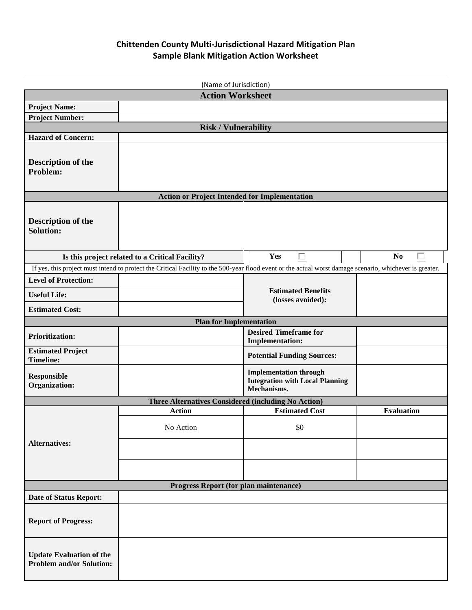# **Chittenden County Multi-Jurisdictional Hazard Mitigation Plan Sample Blank Mitigation Action Worksheet**

| (Name of Jurisdiction)                                                                                                        |                                                                                                                                                          |                                                        |                     |  |  |  |
|-------------------------------------------------------------------------------------------------------------------------------|----------------------------------------------------------------------------------------------------------------------------------------------------------|--------------------------------------------------------|---------------------|--|--|--|
|                                                                                                                               | <b>Action Worksheet</b>                                                                                                                                  |                                                        |                     |  |  |  |
| <b>Project Name:</b>                                                                                                          |                                                                                                                                                          |                                                        |                     |  |  |  |
| <b>Project Number:</b>                                                                                                        |                                                                                                                                                          |                                                        |                     |  |  |  |
|                                                                                                                               | <b>Risk / Vulnerability</b>                                                                                                                              |                                                        |                     |  |  |  |
| <b>Hazard of Concern:</b>                                                                                                     |                                                                                                                                                          |                                                        |                     |  |  |  |
| <b>Description of the</b><br>Problem:                                                                                         |                                                                                                                                                          |                                                        |                     |  |  |  |
|                                                                                                                               | <b>Action or Project Intended for Implementation</b>                                                                                                     |                                                        |                     |  |  |  |
| <b>Description of the</b><br><b>Solution:</b>                                                                                 |                                                                                                                                                          |                                                        |                     |  |  |  |
|                                                                                                                               | Is this project related to a Critical Facility?                                                                                                          | $\Box$<br>Yes                                          | П<br>N <sub>0</sub> |  |  |  |
|                                                                                                                               | If yes, this project must intend to protect the Critical Facility to the 500-year flood event or the actual worst damage scenario, whichever is greater. |                                                        |                     |  |  |  |
| <b>Level of Protection:</b>                                                                                                   |                                                                                                                                                          |                                                        |                     |  |  |  |
| <b>Useful Life:</b>                                                                                                           |                                                                                                                                                          | <b>Estimated Benefits</b><br>(losses avoided):         |                     |  |  |  |
| <b>Estimated Cost:</b>                                                                                                        |                                                                                                                                                          |                                                        |                     |  |  |  |
|                                                                                                                               | <b>Plan for Implementation</b>                                                                                                                           |                                                        |                     |  |  |  |
| <b>Prioritization:</b>                                                                                                        |                                                                                                                                                          | <b>Desired Timeframe for</b><br><b>Implementation:</b> |                     |  |  |  |
| <b>Estimated Project</b><br><b>Timeline:</b>                                                                                  |                                                                                                                                                          | <b>Potential Funding Sources:</b>                      |                     |  |  |  |
| <b>Implementation through</b><br><b>Responsible</b><br><b>Integration with Local Planning</b><br>Organization:<br>Mechanisms. |                                                                                                                                                          |                                                        |                     |  |  |  |
|                                                                                                                               | Three Alternatives Considered (including No Action)                                                                                                      |                                                        |                     |  |  |  |
|                                                                                                                               | <b>Action</b>                                                                                                                                            | <b>Estimated Cost</b>                                  | <b>Evaluation</b>   |  |  |  |
|                                                                                                                               | No Action                                                                                                                                                | \$0                                                    |                     |  |  |  |
| <b>Alternatives:</b>                                                                                                          |                                                                                                                                                          |                                                        |                     |  |  |  |
|                                                                                                                               |                                                                                                                                                          |                                                        |                     |  |  |  |
| Progress Report (for plan maintenance)                                                                                        |                                                                                                                                                          |                                                        |                     |  |  |  |
| <b>Date of Status Report:</b>                                                                                                 |                                                                                                                                                          |                                                        |                     |  |  |  |
| <b>Report of Progress:</b>                                                                                                    |                                                                                                                                                          |                                                        |                     |  |  |  |
| <b>Update Evaluation of the</b><br><b>Problem and/or Solution:</b>                                                            |                                                                                                                                                          |                                                        |                     |  |  |  |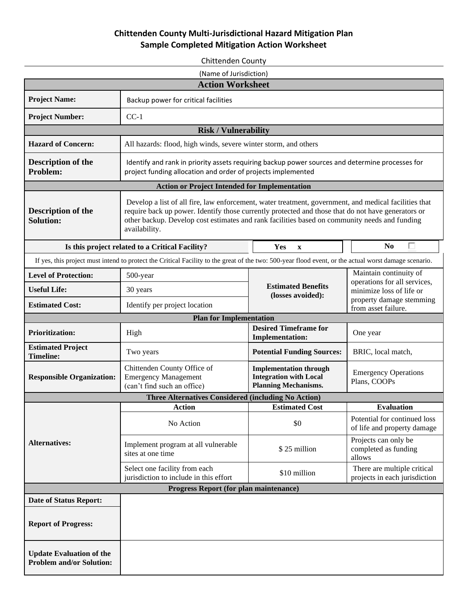# **Chittenden County Multi-Jurisdictional Hazard Mitigation Plan Sample Completed Mitigation Action Worksheet**

Chittenden County (Name of Jurisdiction) **Action Worksheet Project Name: Backup power for critical facilities Project Number:** CC-1 **Risk / Vulnerability Hazard of Concern:** All hazards: flood, high winds, severe winter storm, and others **Description of the**  Identify and rank in priority assets requiring backup power sources and determine processes for project funding allocation and order of projects implemented **Problem: Action or Project Intended for Implementation** Develop a list of all fire, law enforcement, water treatment, government, and medical facilities that **Description of the**  require back up power. Identify those currently protected and those that do not have generators or **Solution:** other backup. Develop cost estimates and rank facilities based on community needs and funding availability. **Is this project related to a Critical Facility? No Yes x No No**  $\Box$ If yes, this project must intend to protect the Critical Facility to the great of the two: 500-year flood event, or the actual worst damage scenario. Maintain continuity of **Level of Protection:** 500-year operations for all services, **Estimated Benefits**  Useful Life:  $\qquad \qquad$  30 years minimize loss of life or **(losses avoided):** property damage stemming **Estimated Cost:** Identify per project location from asset failure. **Plan for Implementation Prioritization:** High **High High Prioritization: Prioritization: High Prioritization: High Prioritization: High Prioritization: High Prioritization: High Prioritization: High Prioritization: Implementation:**  $\begin{array}{|c|c|c|c|c|} \hline \text{One year} \end{array}$ **Estimated Project Timeline:** Two years **Potential Funding Sources:** BRIC, local match, Chittenden County Office of **Implementation through**  Emergency Operations **Responsible Organization:** Emergency Management **Integration with Local**  Plans, COOPs **Planning Mechanisms.** (can't find such an office) **Three Alternatives Considered (including No Action) Action Estimated Cost Evaluation** No Action  $\begin{array}{c|c}\n\hline\n\text{No Action} & \text{Stochastic of 1}\n\end{array}$ of life and property damage Projects can only be **Alternatives:** Implement program at all vulnerable completed as funding sites at one time<br>sites at one time allows Select one facility from each Select one facility from each<br>
jurisdiction to include in this effort \$10 million There are multiple critical<br>
projects in each jurisdiction projects in each jurisdiction **Progress Report (for plan maintenance) Date of Status Report: Report of Progress: Update Evaluation of the Problem and/or Solution:**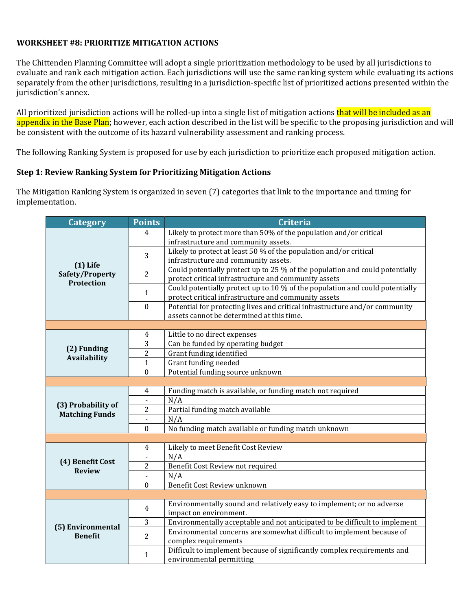### **WORKSHEET #8: PRIORITIZE MITIGATION ACTIONS**

The Chittenden Planning Committee will adopt a single prioritization methodology to be used by all jurisdictions to evaluate and rank each mitigation action. Each jurisdictions will use the same ranking system while evaluating its actions separately from the other jurisdictions, resulting in a jurisdiction-specific list of prioritized actions presented within the jurisdiction's annex.

All prioritized jurisdiction actions will be rolled-up into a single list of mitigation actions that will be included as an appendix in the Base Plan; however, each action described in the list will be specific to the proposing jurisdiction and will be consistent with the outcome of its hazard vulnerability assessment and ranking process.

The following Ranking System is proposed for use by each jurisdiction to prioritize each proposed mitigation action.

### **Step 1: Review Ranking System for Prioritizing Mitigation Actions**

The Mitigation Ranking System is organized in seven (7) categories that link to the importance and timing for implementation.

| Category                                           | <b>Points</b>                | <b>Criteria</b>                                                              |  |  |
|----------------------------------------------------|------------------------------|------------------------------------------------------------------------------|--|--|
| $(1)$ Life<br>Safety/Property<br><b>Protection</b> | 4                            | Likely to protect more than 50% of the population and/or critical            |  |  |
|                                                    |                              | infrastructure and community assets.                                         |  |  |
|                                                    | 3                            | Likely to protect at least 50 % of the population and/or critical            |  |  |
|                                                    |                              | infrastructure and community assets.                                         |  |  |
|                                                    | $\overline{2}$               | Could potentially protect up to 25 % of the population and could potentially |  |  |
|                                                    |                              | protect critical infrastructure and community assets                         |  |  |
|                                                    | $\mathbf{1}$                 | Could potentially protect up to 10 % of the population and could potentially |  |  |
|                                                    |                              | protect critical infrastructure and community assets                         |  |  |
|                                                    | $\mathbf{0}$                 | Potential for protecting lives and critical infrastructure and/or community  |  |  |
|                                                    |                              | assets cannot be determined at this time.                                    |  |  |
|                                                    |                              |                                                                              |  |  |
| (2) Funding<br><b>Availability</b>                 | $\overline{4}$               | Little to no direct expenses                                                 |  |  |
|                                                    | 3<br>$\overline{2}$          | Can be funded by operating budget                                            |  |  |
|                                                    |                              | Grant funding identified                                                     |  |  |
|                                                    | $\mathbf{1}$<br>$\mathbf{0}$ | Grant funding needed<br>Potential funding source unknown                     |  |  |
|                                                    |                              |                                                                              |  |  |
| (3) Probability of<br><b>Matching Funds</b>        | $\overline{4}$               | Funding match is available, or funding match not required                    |  |  |
|                                                    | $\overline{\phantom{a}}$     | N/A                                                                          |  |  |
|                                                    | $\sqrt{2}$                   | Partial funding match available                                              |  |  |
|                                                    | $\blacksquare$               | N/A                                                                          |  |  |
|                                                    | $\boldsymbol{0}$             | No funding match available or funding match unknown                          |  |  |
|                                                    |                              |                                                                              |  |  |
| (4) Benefit Cost<br><b>Review</b>                  | $\overline{4}$               | Likely to meet Benefit Cost Review                                           |  |  |
|                                                    | $\blacksquare$               | N/A                                                                          |  |  |
|                                                    | $\overline{c}$               | Benefit Cost Review not required                                             |  |  |
|                                                    | $\blacksquare$               | N/A                                                                          |  |  |
|                                                    | $\mathbf{0}$                 | Benefit Cost Review unknown                                                  |  |  |
|                                                    |                              |                                                                              |  |  |
| (5) Environmental<br><b>Benefit</b>                | $\overline{4}$               | Environmentally sound and relatively easy to implement; or no adverse        |  |  |
|                                                    |                              | impact on environment.                                                       |  |  |
|                                                    | $\sqrt{3}$                   | Environmentally acceptable and not anticipated to be difficult to implement  |  |  |
|                                                    | $\overline{2}$               | Environmental concerns are somewhat difficult to implement because of        |  |  |
|                                                    |                              | complex requirements                                                         |  |  |
|                                                    | $\mathbf{1}$                 | Difficult to implement because of significantly complex requirements and     |  |  |
|                                                    |                              | environmental permitting                                                     |  |  |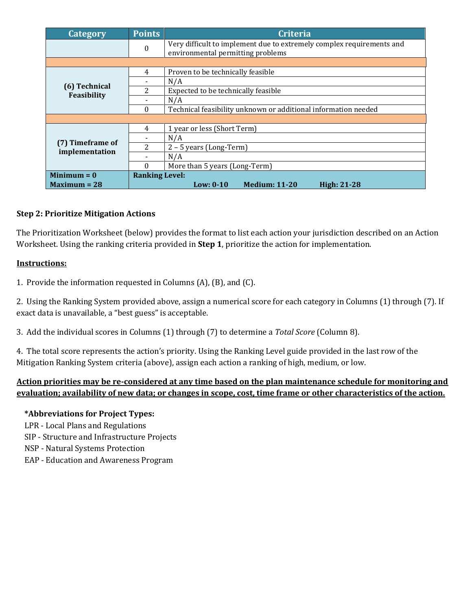| <b>Category</b>                    | <b>Points</b>         | <b>Criteria</b>                                                                                            |  |  |
|------------------------------------|-----------------------|------------------------------------------------------------------------------------------------------------|--|--|
|                                    | $\bf{0}$              | Very difficult to implement due to extremely complex requirements and<br>environmental permitting problems |  |  |
|                                    |                       |                                                                                                            |  |  |
| (6) Technical<br>Feasibility       | 4                     | Proven to be technically feasible                                                                          |  |  |
|                                    |                       | N/A                                                                                                        |  |  |
|                                    | 2                     | Expected to be technically feasible                                                                        |  |  |
|                                    |                       | N/A                                                                                                        |  |  |
|                                    | $\Omega$              | Technical feasibility unknown or additional information needed                                             |  |  |
|                                    |                       |                                                                                                            |  |  |
| (7) Timeframe of<br>implementation | 4                     | 1 year or less (Short Term)                                                                                |  |  |
|                                    |                       | N/A                                                                                                        |  |  |
|                                    | 2                     | $2 - 5$ years (Long-Term)                                                                                  |  |  |
|                                    |                       | N/A                                                                                                        |  |  |
|                                    | 0                     | More than 5 years (Long-Term)                                                                              |  |  |
| Minimum $= 0$                      | <b>Ranking Level:</b> |                                                                                                            |  |  |
| $Maximum = 28$                     |                       | Low: $0-10$<br><b>Medium: 11-20</b><br><b>High: 21-28</b>                                                  |  |  |

# **Step 2: Prioritize Mitigation Actions**

The Prioritization Worksheet (below) provides the format to list each action your jurisdiction described on an Action Worksheet. Using the ranking criteria provided in **Step 1**, prioritize the action for implementation.

### **Instructions:**

1. Provide the information requested in Columns (A), (B), and (C).

2. Using the Ranking System provided above, assign a numerical score for each category in Columns (1) through (7). If exact data is unavailable, a "best guess" is acceptable.

3. Add the individual scores in Columns (1) through (7) to determine a *Total Score* (Column 8).

4. The total score represents the action's priority. Using the Ranking Level guide provided in the last row of the Mitigation Ranking System criteria (above), assign each action a ranking of high, medium, or low.

# **Action priorities may be re-considered at any time based on the plan maintenance schedule for monitoring and evaluation; availability of new data; or changes in scope, cost, time frame or other characteristics of the action.**

#### **\*Abbreviations for Project Types:**

- LPR Local Plans and Regulations
- SIP Structure and Infrastructure Projects
- NSP Natural Systems Protection
- EAP Education and Awareness Program